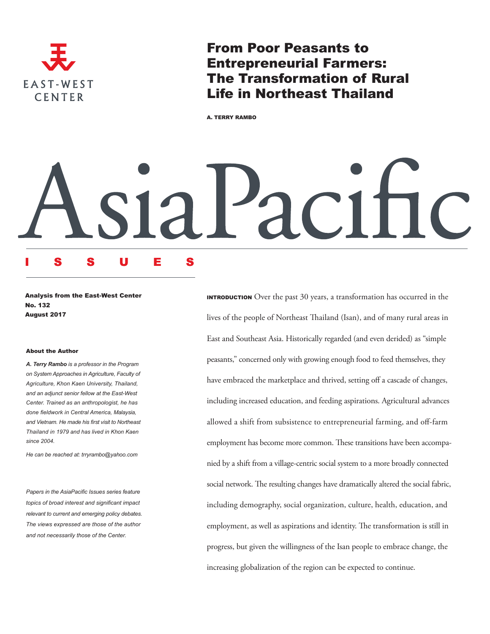

From Poor Peasants to Entrepreneurial Farmers: The Transformation of Rural Life in Northeast Thailand

A. TERRY RAMBO

Analysis from the East-West Center No. 132 August 2017

ISSUES

#### About the Author

*A. Terry Rambo is a professor in the Program on System Approaches in Agriculture, Faculty of Agriculture, Khon Kaen University, Thailand, and an adjunct senior fellow at the East-West Center. Trained as an anthropologist, he has done fieldwork in Central America, Malaysia, and Vietnam. He made his first visit to Northeast Thailand in 1979 and has lived in Khon Kaen since 2004.*

*He can be reached at: trryrambo@yahoo.com*

*Papers in the AsiaPacific Issues series feature topics of broad interest and significant impact relevant to current and emerging policy debates. The views expressed are those of the author and not necessarily those of the Center.*

INTRODUCTION Over the past 30 years, a transformation has occurred in the lives of the people of Northeast Thailand (Isan), and of many rural areas in East and Southeast Asia. Historically regarded (and even derided) as "simple peasants," concerned only with growing enough food to feed themselves, they have embraced the marketplace and thrived, setting off a cascade of changes, including increased education, and feeding aspirations. Agricultural advances allowed a shift from subsistence to entrepreneurial farming, and off-farm employment has become more common. These transitions have been accompanied by a shift from a village-centric social system to a more broadly connected social network. The resulting changes have dramatically altered the social fabric, including demography, social organization, culture, health, education, and employment, as well as aspirations and identity. The transformation is still in progress, but given the willingness of the Isan people to embrace change, the increasing globalization of the region can be expected to continue.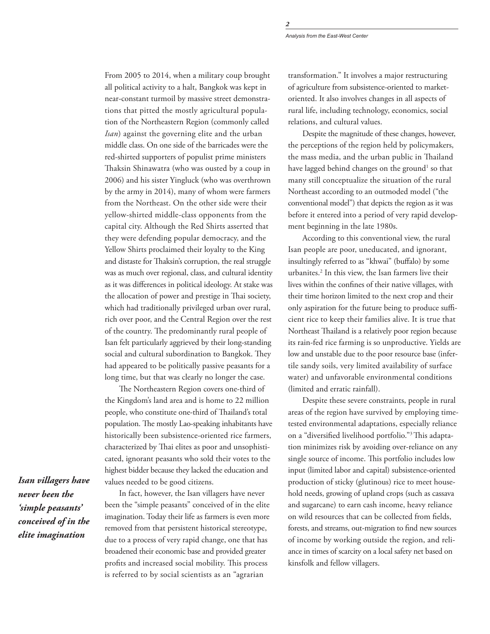*Analysis from the East-West Center*

From 2005 to 2014, when a military coup brought all political activity to a halt, Bangkok was kept in near-constant turmoil by massive street demonstrations that pitted the mostly agricultural population of the Northeastern Region (commonly called *Isan*) against the governing elite and the urban middle class. On one side of the barricades were the red-shirted supporters of populist prime ministers Thaksin Shinawatra (who was ousted by a coup in 2006) and his sister Yingluck (who was overthrown by the army in 2014), many of whom were farmers from the Northeast. On the other side were their yellow-shirted middle-class opponents from the capital city. Although the Red Shirts asserted that they were defending popular democracy, and the Yellow Shirts proclaimed their loyalty to the King and distaste for Thaksin's corruption, the real struggle was as much over regional, class, and cultural identity as it was differences in political ideology. At stake was the allocation of power and prestige in Thai society, which had traditionally privileged urban over rural, rich over poor, and the Central Region over the rest of the country. The predominantly rural people of Isan felt particularly aggrieved by their long-standing social and cultural subordination to Bangkok. They had appeared to be politically passive peasants for a long time, but that was clearly no longer the case.

The Northeastern Region covers one-third of the Kingdom's land area and is home to 22 million people, who constitute one-third of Thailand's total population. The mostly Lao-speaking inhabitants have historically been subsistence-oriented rice farmers, characterized by Thai elites as poor and unsophisticated, ignorant peasants who sold their votes to the highest bidder because they lacked the education and values needed to be good citizens.

*Isan villagers have never been the 'simple peasants' conceived of in the elite imagination*

In fact, however, the Isan villagers have never been the "simple peasants" conceived of in the elite imagination. Today their life as farmers is even more removed from that persistent historical stereotype, due to a process of very rapid change, one that has broadened their economic base and provided greater profits and increased social mobility. This process is referred to by social scientists as an "agrarian

transformation." It involves a major restructuring of agriculture from subsistence-oriented to marketoriented. It also involves changes in all aspects of rural life, including technology, economics, social relations, and cultural values.

Despite the magnitude of these changes, however, the perceptions of the region held by policymakers, the mass media, and the urban public in Thailand have lagged behind changes on the ground<sup>1</sup> so that many still conceptualize the situation of the rural Northeast according to an outmoded model ("the conventional model") that depicts the region as it was before it entered into a period of very rapid development beginning in the late 1980s.

According to this conventional view, the rural Isan people are poor, uneducated, and ignorant, insultingly referred to as "khwai" (buffalo) by some urbanites.2 In this view, the Isan farmers live their lives within the confines of their native villages, with their time horizon limited to the next crop and their only aspiration for the future being to produce sufficient rice to keep their families alive. It is true that Northeast Thailand is a relatively poor region because its rain-fed rice farming is so unproductive. Yields are low and unstable due to the poor resource base (infertile sandy soils, very limited availability of surface water) and unfavorable environmental conditions (limited and erratic rainfall).

Despite these severe constraints, people in rural areas of the region have survived by employing timetested environmental adaptations, especially reliance on a "diversified livelihood portfolio."3 This adaptation minimizes risk by avoiding over-reliance on any single source of income. This portfolio includes low input (limited labor and capital) subsistence-oriented production of sticky (glutinous) rice to meet household needs, growing of upland crops (such as cassava and sugarcane) to earn cash income, heavy reliance on wild resources that can be collected from fields, forests, and streams, out-migration to find new sources of income by working outside the region, and reliance in times of scarcity on a local safety net based on kinsfolk and fellow villagers.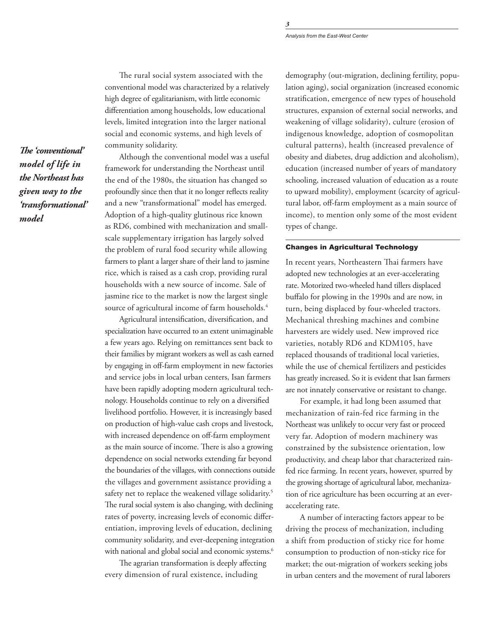*Analysis from the East-West Center*

The rural social system associated with the conventional model was characterized by a relatively high degree of egalitarianism, with little economic differentiation among households, low educational levels, limited integration into the larger national social and economic systems, and high levels of community solidarity.

*The 'conventional' model of life in the Northeast has given way to the 'transformational' model* 

Although the conventional model was a useful framework for understanding the Northeast until the end of the 1980s, the situation has changed so profoundly since then that it no longer reflects reality and a new "transformational" model has emerged. Adoption of a high-quality glutinous rice known as RD6, combined with mechanization and smallscale supplementary irrigation has largely solved the problem of rural food security while allowing farmers to plant a larger share of their land to jasmine rice, which is raised as a cash crop, providing rural households with a new source of income. Sale of jasmine rice to the market is now the largest single source of agricultural income of farm households.<sup>4</sup>

Agricultural intensification, diversification, and specialization have occurred to an extent unimaginable a few years ago. Relying on remittances sent back to their families by migrant workers as well as cash earned by engaging in off-farm employment in new factories and service jobs in local urban centers, Isan farmers have been rapidly adopting modern agricultural technology. Households continue to rely on a diversified livelihood portfolio. However, it is increasingly based on production of high-value cash crops and livestock, with increased dependence on off-farm employment as the main source of income. There is also a growing dependence on social networks extending far beyond the boundaries of the villages, with connections outside the villages and government assistance providing a safety net to replace the weakened village solidarity.<sup>5</sup> The rural social system is also changing, with declining rates of poverty, increasing levels of economic differentiation, improving levels of education, declining community solidarity, and ever-deepening integration with national and global social and economic systems.<sup>6</sup>

The agrarian transformation is deeply affecting every dimension of rural existence, including

demography (out-migration, declining fertility, population aging), social organization (increased economic stratification, emergence of new types of household structures, expansion of external social networks, and weakening of village solidarity), culture (erosion of indigenous knowledge, adoption of cosmopolitan cultural patterns), health (increased prevalence of obesity and diabetes, drug addiction and alcoholism), education (increased number of years of mandatory schooling, increased valuation of education as a route to upward mobility), employment (scarcity of agricultural labor, off-farm employment as a main source of income), to mention only some of the most evident types of change.

## Changes in Agricultural Technology

In recent years, Northeastern Thai farmers have adopted new technologies at an ever-accelerating rate. Motorized two-wheeled hand tillers displaced buffalo for plowing in the 1990s and are now, in turn, being displaced by four-wheeled tractors. Mechanical threshing machines and combine harvesters are widely used. New improved rice varieties, notably RD6 and KDM105, have replaced thousands of traditional local varieties, while the use of chemical fertilizers and pesticides has greatly increased. So it is evident that Isan farmers are not innately conservative or resistant to change.

For example, it had long been assumed that mechanization of rain-fed rice farming in the Northeast was unlikely to occur very fast or proceed very far. Adoption of modern machinery was constrained by the subsistence orientation, low productivity, and cheap labor that characterized rainfed rice farming. In recent years, however, spurred by the growing shortage of agricultural labor, mechanization of rice agriculture has been occurring at an everaccelerating rate.

A number of interacting factors appear to be driving the process of mechanization, including a shift from production of sticky rice for home consumption to production of non-sticky rice for market; the out-migration of workers seeking jobs in urban centers and the movement of rural laborers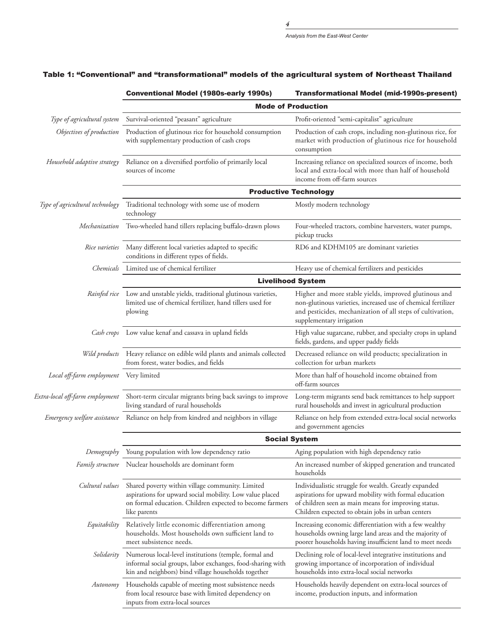|                                        | <b>Conventional Model (1980s-early 1990s)</b>                                                                                                                                            | <b>Transformational Model (mid-1990s-present)</b>                                                                                                                                                                           |
|----------------------------------------|------------------------------------------------------------------------------------------------------------------------------------------------------------------------------------------|-----------------------------------------------------------------------------------------------------------------------------------------------------------------------------------------------------------------------------|
|                                        | <b>Mode of Production</b>                                                                                                                                                                |                                                                                                                                                                                                                             |
| Type of agricultural system            | Survival-oriented "peasant" agriculture                                                                                                                                                  | Profit-oriented "semi-capitalist" agriculture                                                                                                                                                                               |
| Objectives of production               | Production of glutinous rice for household consumption<br>with supplementary production of cash crops                                                                                    | Production of cash crops, including non-glutinous rice, for<br>market with production of glutinous rice for household<br>consumption                                                                                        |
| Household adaptive strategy            | Reliance on a diversified portfolio of primarily local<br>sources of income                                                                                                              | Increasing reliance on specialized sources of income, both<br>local and extra-local with more than half of household<br>income from off-farm sources                                                                        |
|                                        | <b>Productive Technology</b>                                                                                                                                                             |                                                                                                                                                                                                                             |
| Type of agricultural technology        | Traditional technology with some use of modern<br>technology                                                                                                                             | Mostly modern technology                                                                                                                                                                                                    |
| Mechanization                          | Two-wheeled hand tillers replacing buffalo-drawn plows                                                                                                                                   | Four-wheeled tractors, combine harvesters, water pumps,<br>pickup trucks                                                                                                                                                    |
| Rice varieties                         | Many different local varieties adapted to specific<br>conditions in different types of fields.                                                                                           | RD6 and KDHM105 are dominant varieties                                                                                                                                                                                      |
| Chemicals                              | Limited use of chemical fertilizer                                                                                                                                                       | Heavy use of chemical fertilizers and pesticides                                                                                                                                                                            |
|                                        | <b>Livelihood System</b>                                                                                                                                                                 |                                                                                                                                                                                                                             |
|                                        | Rainfed rice Low and unstable yields, traditional glutinous varieties,<br>limited use of chemical fertilizer, hand tillers used for<br>plowing                                           | Higher and more stable yields, improved glutinous and<br>non-glutinous varieties, increased use of chemical fertilizer<br>and pesticides, mechanization of all steps of cultivation,<br>supplementary irrigation            |
|                                        | Cash crops Low value kenaf and cassava in upland fields                                                                                                                                  | High value sugarcane, rubber, and specialty crops in upland<br>fields, gardens, and upper paddy fields                                                                                                                      |
| Wild products                          | Heavy reliance on edible wild plants and animals collected<br>from forest, water bodies, and fields                                                                                      | Decreased reliance on wild products; specialization in<br>collection for urban markets                                                                                                                                      |
| Local off-farm employment Very limited |                                                                                                                                                                                          | More than half of household income obtained from<br>off-farm sources                                                                                                                                                        |
| Extra-local off-farm employment        | Short-term circular migrants bring back savings to improve<br>living standard of rural households                                                                                        | Long-term migrants send back remittances to help support<br>rural households and invest in agricultural production                                                                                                          |
| Emergency welfare assistance           | Reliance on help from kindred and neighbors in village                                                                                                                                   | Reliance on help from extended extra-local social networks<br>and government agencies                                                                                                                                       |
|                                        | <b>Social System</b>                                                                                                                                                                     |                                                                                                                                                                                                                             |
| Demography                             | Young population with low dependency ratio                                                                                                                                               | Aging population with high dependency ratio                                                                                                                                                                                 |
|                                        | Family structure Nuclear households are dominant form                                                                                                                                    | An increased number of skipped generation and truncated<br>households                                                                                                                                                       |
| Cultural values                        | Shared poverty within village community. Limited<br>aspirations for upward social mobility. Low value placed<br>on formal education. Children expected to become farmers<br>like parents | Individualistic struggle for wealth. Greatly expanded<br>aspirations for upward mobility with formal education<br>of children seen as main means for improving status.<br>Children expected to obtain jobs in urban centers |
| Equitability                           | Relatively little economic differentiation among<br>households. Most households own sufficient land to<br>meet subsistence needs.                                                        | Increasing economic differentiation with a few wealthy<br>households owning large land areas and the majority of<br>poorer households having insufficient land to meet needs                                                |
| Solidarity                             | Numerous local-level institutions (temple, formal and<br>informal social groups, labor exchanges, food-sharing with<br>kin and neighbors) bind village households together               | Declining role of local-level integrative institutions and<br>growing importance of incorporation of individual<br>households into extra-local social networks                                                              |
| Autonomy                               | Households capable of meeting most subsistence needs<br>from local resource base with limited dependency on<br>inputs from extra-local sources                                           | Households heavily dependent on extra-local sources of<br>income, production inputs, and information                                                                                                                        |

# Table 1: "Conventional" and "transformational" models of the agricultural system of Northeast Thailand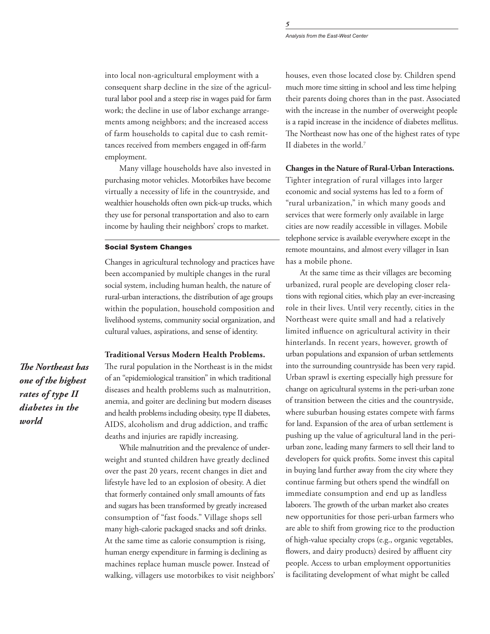*Analysis from the East-West Center*

into local non-agricultural employment with a consequent sharp decline in the size of the agricultural labor pool and a steep rise in wages paid for farm work; the decline in use of labor exchange arrangements among neighbors; and the increased access of farm households to capital due to cash remittances received from members engaged in off-farm employment.

Many village households have also invested in purchasing motor vehicles. Motorbikes have become virtually a necessity of life in the countryside, and wealthier households often own pick-up trucks, which they use for personal transportation and also to earn income by hauling their neighbors' crops to market.

## Social System Changes

Changes in agricultural technology and practices have been accompanied by multiple changes in the rural social system, including human health, the nature of rural-urban interactions, the distribution of age groups within the population, household composition and livelihood systems, community social organization, and cultural values, aspirations, and sense of identity.

### **Traditional Versus Modern Health Problems.**

The rural population in the Northeast is in the midst of an "epidemiological transition" in which traditional diseases and health problems such as malnutrition, anemia, and goiter are declining but modern diseases and health problems including obesity, type II diabetes, AIDS, alcoholism and drug addiction, and traffic deaths and injuries are rapidly increasing.

While malnutrition and the prevalence of underweight and stunted children have greatly declined over the past 20 years, recent changes in diet and lifestyle have led to an explosion of obesity. A diet that formerly contained only small amounts of fats and sugars has been transformed by greatly increased consumption of "fast foods." Village shops sell many high-calorie packaged snacks and soft drinks. At the same time as calorie consumption is rising, human energy expenditure in farming is declining as machines replace human muscle power. Instead of walking, villagers use motorbikes to visit neighbors' houses, even those located close by. Children spend much more time sitting in school and less time helping their parents doing chores than in the past. Associated with the increase in the number of overweight people is a rapid increase in the incidence of diabetes mellitus. The Northeast now has one of the highest rates of type II diabetes in the world.7

## **Changes in the Nature of Rural-Urban Interactions.**

Tighter integration of rural villages into larger economic and social systems has led to a form of "rural urbanization," in which many goods and services that were formerly only available in large cities are now readily accessible in villages. Mobile telephone service is available everywhere except in the remote mountains, and almost every villager in Isan has a mobile phone.

At the same time as their villages are becoming urbanized, rural people are developing closer relations with regional cities, which play an ever-increasing role in their lives. Until very recently, cities in the Northeast were quite small and had a relatively limited influence on agricultural activity in their hinterlands. In recent years, however, growth of urban populations and expansion of urban settlements into the surrounding countryside has been very rapid. Urban sprawl is exerting especially high pressure for change on agricultural systems in the peri-urban zone of transition between the cities and the countryside, where suburban housing estates compete with farms for land. Expansion of the area of urban settlement is pushing up the value of agricultural land in the periurban zone, leading many farmers to sell their land to developers for quick profits. Some invest this capital in buying land further away from the city where they continue farming but others spend the windfall on immediate consumption and end up as landless laborers. The growth of the urban market also creates new opportunities for those peri-urban farmers who are able to shift from growing rice to the production of high-value specialty crops (e.g., organic vegetables, flowers, and dairy products) desired by affluent city people. Access to urban employment opportunities is facilitating development of what might be called

*The Northeast has one of the highest rates of type II diabetes in the world*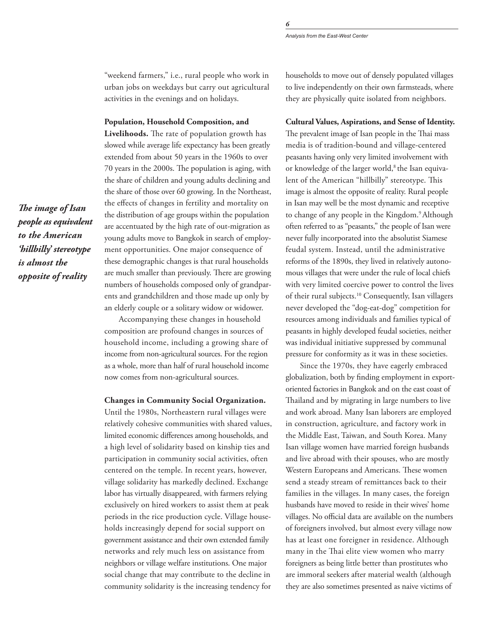"weekend farmers," i.e., rural people who work in urban jobs on weekdays but carry out agricultural activities in the evenings and on holidays.

#### **Population, Household Composition, and**

**Livelihoods.** The rate of population growth has slowed while average life expectancy has been greatly extended from about 50 years in the 1960s to over 70 years in the 2000s. The population is aging, with the share of children and young adults declining and the share of those over 60 growing. In the Northeast, the effects of changes in fertility and mortality on the distribution of age groups within the population are accentuated by the high rate of out-migration as young adults move to Bangkok in search of employment opportunities. One major consequence of these demographic changes is that rural households are much smaller than previously. There are growing numbers of households composed only of grandparents and grandchildren and those made up only by an elderly couple or a solitary widow or widower.

Accompanying these changes in household composition are profound changes in sources of household income, including a growing share of income from non-agricultural sources. For the region as a whole, more than half of rural household income now comes from non-agricultural sources.

## **Changes in Community Social Organization.**

Until the 1980s, Northeastern rural villages were relatively cohesive communities with shared values, limited economic differences among households, and a high level of solidarity based on kinship ties and participation in community social activities, often centered on the temple. In recent years, however, village solidarity has markedly declined. Exchange labor has virtually disappeared, with farmers relying exclusively on hired workers to assist them at peak periods in the rice production cycle. Village households increasingly depend for social support on government assistance and their own extended family networks and rely much less on assistance from neighbors or village welfare institutions. One major social change that may contribute to the decline in community solidarity is the increasing tendency for

households to move out of densely populated villages to live independently on their own farmsteads, where they are physically quite isolated from neighbors.

#### **Cultural Values, Aspirations, and Sense of Identity.**

The prevalent image of Isan people in the Thai mass media is of tradition-bound and village-centered peasants having only very limited involvement with or knowledge of the larger world,<sup>8</sup> the Isan equivalent of the American "hillbilly" stereotype. This image is almost the opposite of reality. Rural people in Isan may well be the most dynamic and receptive to change of any people in the Kingdom.<sup>9</sup> Although often referred to as "peasants," the people of Isan were never fully incorporated into the absolutist Siamese feudal system. Instead, until the administrative reforms of the 1890s, they lived in relatively autonomous villages that were under the rule of local chiefs with very limited coercive power to control the lives of their rural subjects.10 Consequently, Isan villagers never developed the "dog-eat-dog" competition for resources among individuals and families typical of peasants in highly developed feudal societies, neither was individual initiative suppressed by communal pressure for conformity as it was in these societies.

Since the 1970s, they have eagerly embraced globalization, both by finding employment in exportoriented factories in Bangkok and on the east coast of Thailand and by migrating in large numbers to live and work abroad. Many Isan laborers are employed in construction, agriculture, and factory work in the Middle East, Taiwan, and South Korea. Many Isan village women have married foreign husbands and live abroad with their spouses, who are mostly Western Europeans and Americans. These women send a steady stream of remittances back to their families in the villages. In many cases, the foreign husbands have moved to reside in their wives' home villages. No official data are available on the numbers of foreigners involved, but almost every village now has at least one foreigner in residence. Although many in the Thai elite view women who marry foreigners as being little better than prostitutes who are immoral seekers after material wealth (although they are also sometimes presented as naive victims of

*The image of Isan people as equivalent to the American 'hillbilly' stereotype is almost the opposite of reality*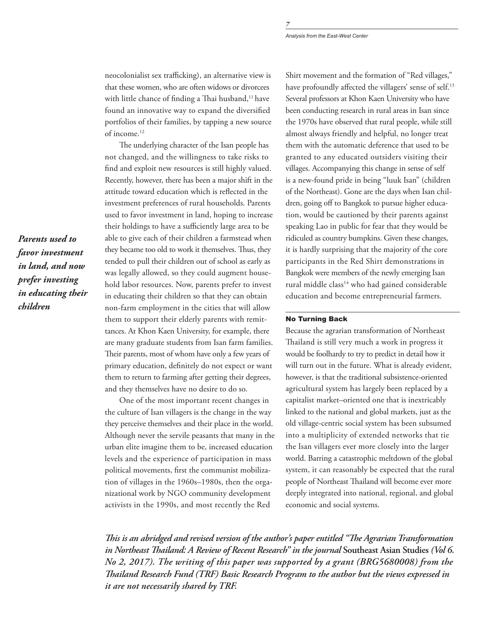neocolonialist sex trafficking), an alternative view is that these women, who are often widows or divorcees with little chance of finding a Thai husband,<sup>11</sup> have found an innovative way to expand the diversified portfolios of their families, by tapping a new source of income.12

The underlying character of the Isan people has not changed, and the willingness to take risks to find and exploit new resources is still highly valued. Recently, however, there has been a major shift in the attitude toward education which is reflected in the investment preferences of rural households. Parents used to favor investment in land, hoping to increase their holdings to have a sufficiently large area to be able to give each of their children a farmstead when they became too old to work it themselves. Thus, they tended to pull their children out of school as early as was legally allowed, so they could augment household labor resources. Now, parents prefer to invest in educating their children so that they can obtain non-farm employment in the cities that will allow them to support their elderly parents with remittances. At Khon Kaen University, for example, there are many graduate students from Isan farm families. Their parents, most of whom have only a few years of primary education, definitely do not expect or want them to return to farming after getting their degrees, and they themselves have no desire to do so.

One of the most important recent changes in the culture of Isan villagers is the change in the way they perceive themselves and their place in the world. Although never the servile peasants that many in the urban elite imagine them to be, increased education levels and the experience of participation in mass political movements, first the communist mobilization of villages in the 1960s–1980s, then the organizational work by NGO community development activists in the 1990s, and most recently the Red

Shirt movement and the formation of "Red villages," have profoundly affected the villagers' sense of self.<sup>13</sup> Several professors at Khon Kaen University who have been conducting research in rural areas in Isan since the 1970s have observed that rural people, while still almost always friendly and helpful, no longer treat them with the automatic deference that used to be granted to any educated outsiders visiting their villages. Accompanying this change in sense of self is a new-found pride in being "luuk Isan" (children of the Northeast). Gone are the days when Isan children, going off to Bangkok to pursue higher education, would be cautioned by their parents against speaking Lao in public for fear that they would be ridiculed as country bumpkins. Given these changes, it is hardly surprising that the majority of the core participants in the Red Shirt demonstrations in Bangkok were members of the newly emerging Isan rural middle class<sup>14</sup> who had gained considerable education and become entrepreneurial farmers.

## No Turning Back

Because the agrarian transformation of Northeast Thailand is still very much a work in progress it would be foolhardy to try to predict in detail how it will turn out in the future. What is already evident, however, is that the traditional subsistence-oriented agricultural system has largely been replaced by a capitalist market–oriented one that is inextricably linked to the national and global markets, just as the old village-centric social system has been subsumed into a multiplicity of extended networks that tie the Isan villagers ever more closely into the larger world. Barring a catastrophic meltdown of the global system, it can reasonably be expected that the rural people of Northeast Thailand will become ever more deeply integrated into national, regional, and global economic and social systems.

*This is an abridged and revised version of the author's paper entitled "The Agrarian Transformation in Northeast Thailand: A Review of Recent Research" in the journal* **Southeast Asian Studies** *(Vol 6. No 2, 2017). The writing of this paper was supported by a grant (BRG5680008) from the Thailand Research Fund (TRF) Basic Research Program to the author but the views expressed in it are not necessarily shared by TRF.*

*Parents used to favor investment in land, and now prefer investing in educating their children*